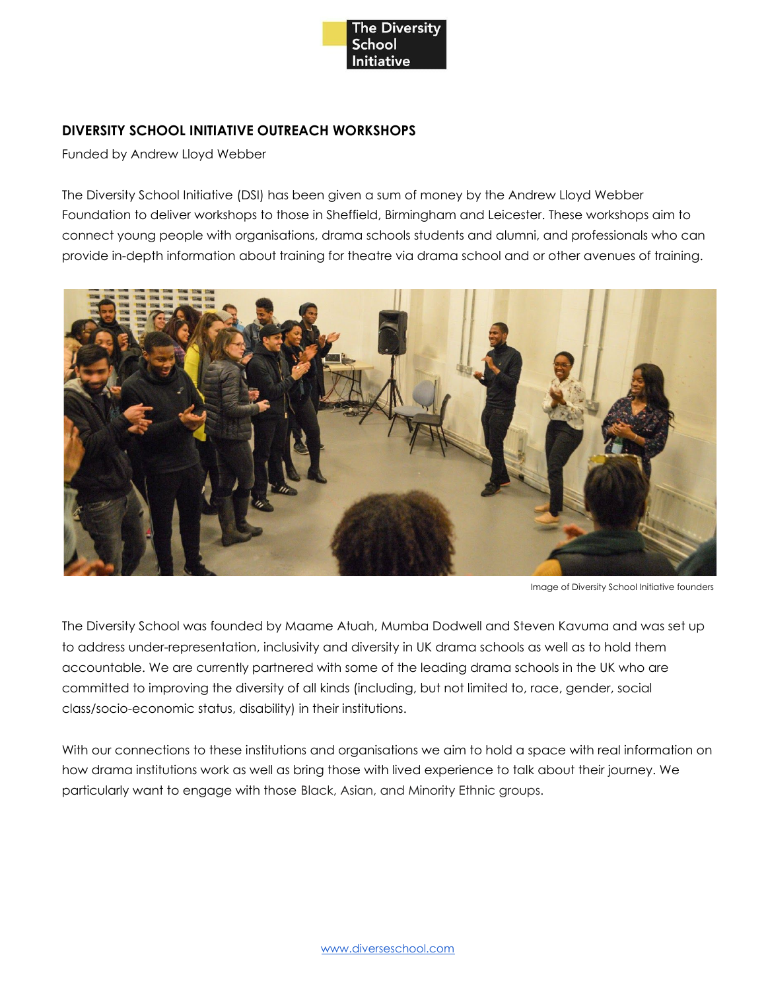

# **DIVERSITY SCHOOL INITIATIVE OUTREACH WORKSHOPS**

Funded by Andrew Lloyd Webber

The Diversity School Initiative (DSI) has been given a sum of money by the Andrew Lloyd Webber Foundation to deliver workshops to those in Sheffield, Birmingham and Leicester. These workshops aim to connect young people with organisations, drama schools students and alumni, and professionals who can provide in-depth information about training for theatre via drama school and or other avenues of training.



Image of Diversity School Initiative founders

The Diversity School was founded by Maame Atuah, Mumba Dodwell and Steven Kavuma and was set up to address under-representation, inclusivity and diversity in UK drama schools as well as to hold them accountable. We are currently partnered with some of the leading drama schools in the UK who are committed to improving the diversity of all kinds (including, but not limited to, race, gender, social class/socio-economic status, disability) in their institutions.

With our connections to these institutions and organisations we aim to hold a space with real information on how drama institutions work as well as bring those with lived experience to talk about their journey. We particularly want to engage with those Black, Asian, and Minority Ethnic groups.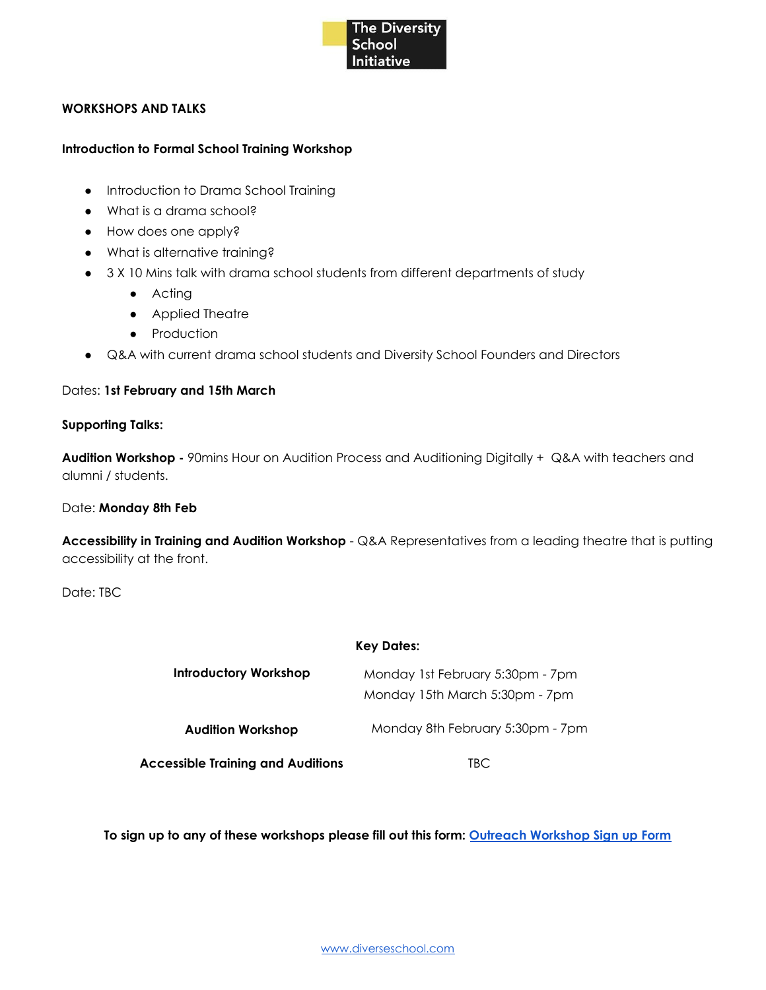

# **WORKSHOPS AND TALKS**

#### **Introduction to Formal School Training Workshop**

- Introduction to Drama School Training
- What is a drama school?
- How does one apply?
- What is alternative training?
- 3 X 10 Mins talk with drama school students from different departments of study
	- Acting
	- Applied Theatre
	- Production
- Q&A with current drama school students and Diversity School Founders and Directors

# Dates: **1st February and 15th March**

#### **Supporting Talks:**

**Audition Workshop -** 90mins Hour on Audition Process and Auditioning Digitally + Q&A with teachers and alumni / students.

# Date: **Monday 8th Feb**

**Accessibility in Training and Audition Workshop** - Q&A Representatives from a leading theatre that is putting accessibility at the front.

Date: TBC

#### **Key Dates:**

| Introductory Workshop                    | Monday 1st February 5:30pm - 7pm<br>Monday 15th March 5:30pm - 7pm |
|------------------------------------------|--------------------------------------------------------------------|
| <b>Audition Workshop</b>                 | Monday 8th February 5:30pm - 7pm                                   |
| <b>Accessible Training and Auditions</b> | TBC                                                                |

**To sign up to any of these workshops please fill out this form: Outreach [Workshop](https://docs.google.com/forms/d/e/1FAIpQLSesg_Usi7_JOCAbW_W4_3lSqyRGVenLJqEU2zdgQY7iGyL19w/viewform?usp=sf_link) Sign up Form**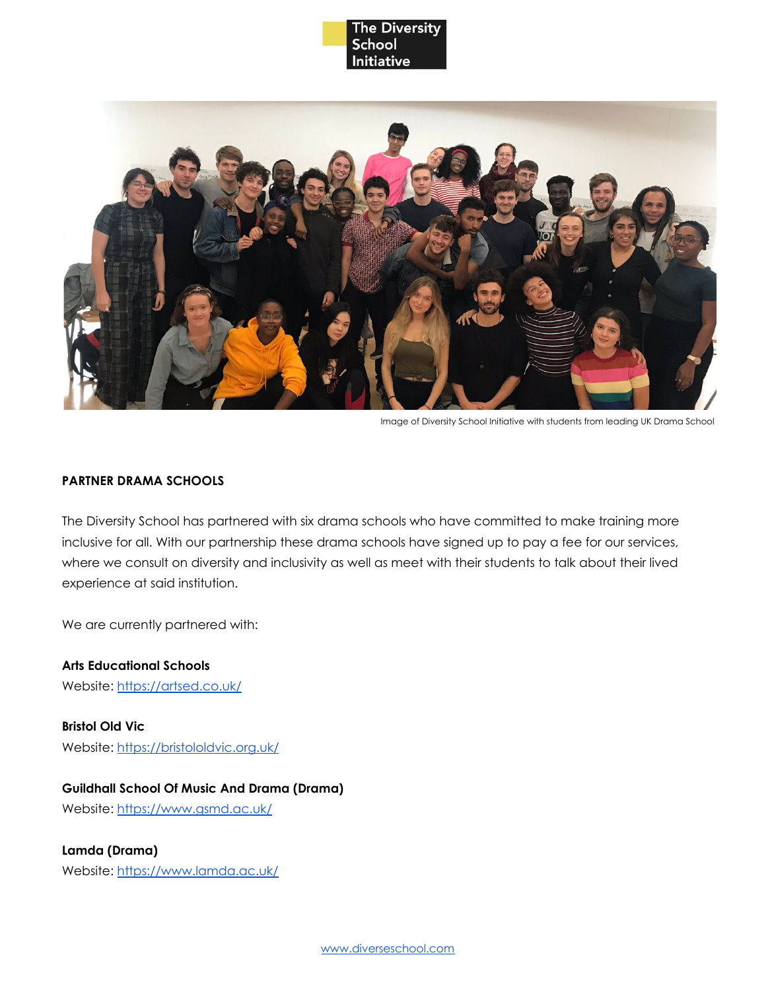



Image of Diversity School Initiative with students from leading UK Drama School

## **PARTNER DRAMA SCHOOLS**

The Diversity School has partnered with six drama schools who have committed to make training more inclusive for all. With our partnership these drama schools have signed up to pay a fee for our services, where we consult on diversity and inclusivity as well as meet with their students to talk about their lived experience at said institution.

We are currently partnered with:

**Arts Educational Schools** Website: <https://artsed.co.uk/>

**Bristol Old Vic** Website: <https://bristololdvic.org.uk/>

**Guildhall School Of Music And Drama (Drama)**

Website: <https://www.gsmd.ac.uk/>

**Lamda (Drama)**

Website: <https://www.lamda.ac.uk/>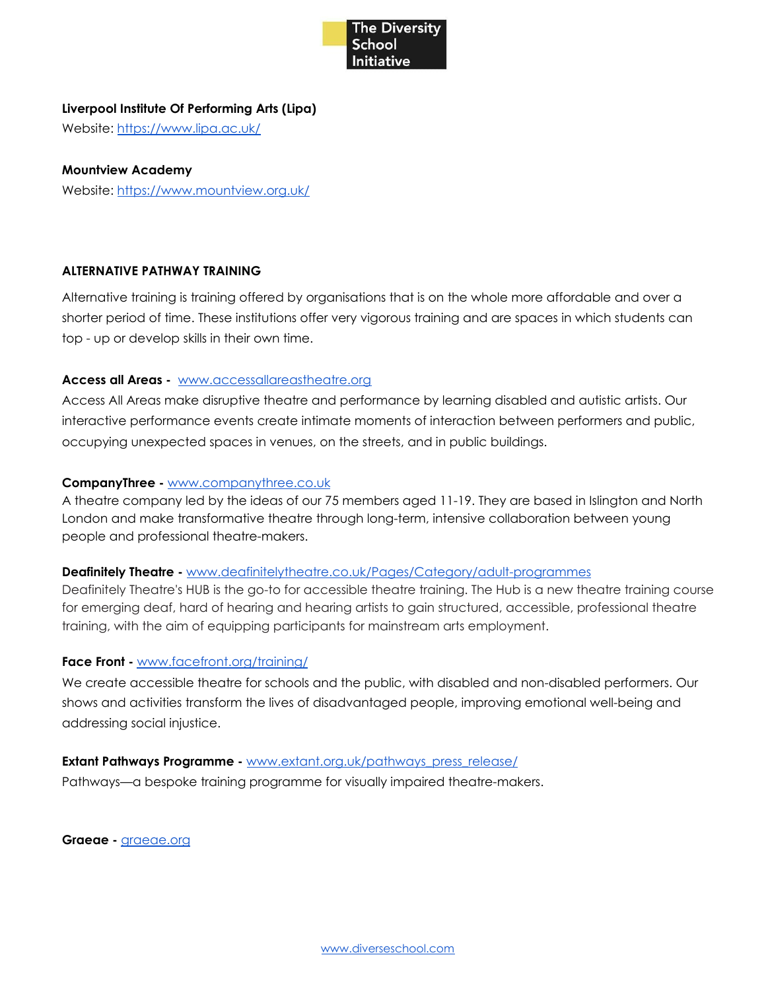

# **Liverpool Institute Of Performing Arts (Lipa)**

Website: <https://www.lipa.ac.uk/>

# **Mountview Academy**

Website: <https://www.mountview.org.uk/>

# **ALTERNATIVE PATHWAY TRAINING**

Alternative training is training offered by organisations that is on the whole more affordable and over a shorter period of time. These institutions offer very vigorous training and are spaces in which students can top - up or develop skills in their own time.

# **Access all Areas -** [www.accessallareastheatre.org](http://www.accessallareastheatre.org/)

Access All Areas make disruptive theatre and performance by learning disabled and autistic artists. Our interactive performance events create intimate moments of interaction between performers and public, occupying unexpected spaces in venues, on the streets, and in public buildings.

# **CompanyThree -** [www.companythree.co.uk](https://www.companythree.co.uk/)

A theatre company led by the ideas of our 75 members aged 11-19. They are based in Islington and North London and make transformative theatre through long-term, intensive collaboration between young people and professional theatre-makers.

# **Deafinitely Theatre -** [www.deafinitelytheatre.co.uk/Pages/Category/adult-programmes](https://www.deafinitelytheatre.co.uk/Pages/Category/adult-programmes)

Deafinitely Theatre's HUB is the go-to for accessible theatre training. The Hub is a new theatre training course for emerging deaf, hard of hearing and hearing artists to gain structured, accessible, professional theatre training, with the aim of equipping participants for mainstream arts employment.

# **Face Front -** [www.facefront.org/training/](http://www.facefront.org/training/)

We create accessible theatre for schools and the public, with disabled and non-disabled performers. Our shows and activities transform the lives of disadvantaged people, improving emotional well-being and addressing social injustice.

# **Extant Pathways Programme -** [www.extant.org.uk/pathways\\_press\\_release/](http://www.extant.org.uk/pathways_press_release/)

Pathways—a bespoke training programme for visually impaired theatre-makers.

**Graeae -** [graeae.org](https://graeae.org/)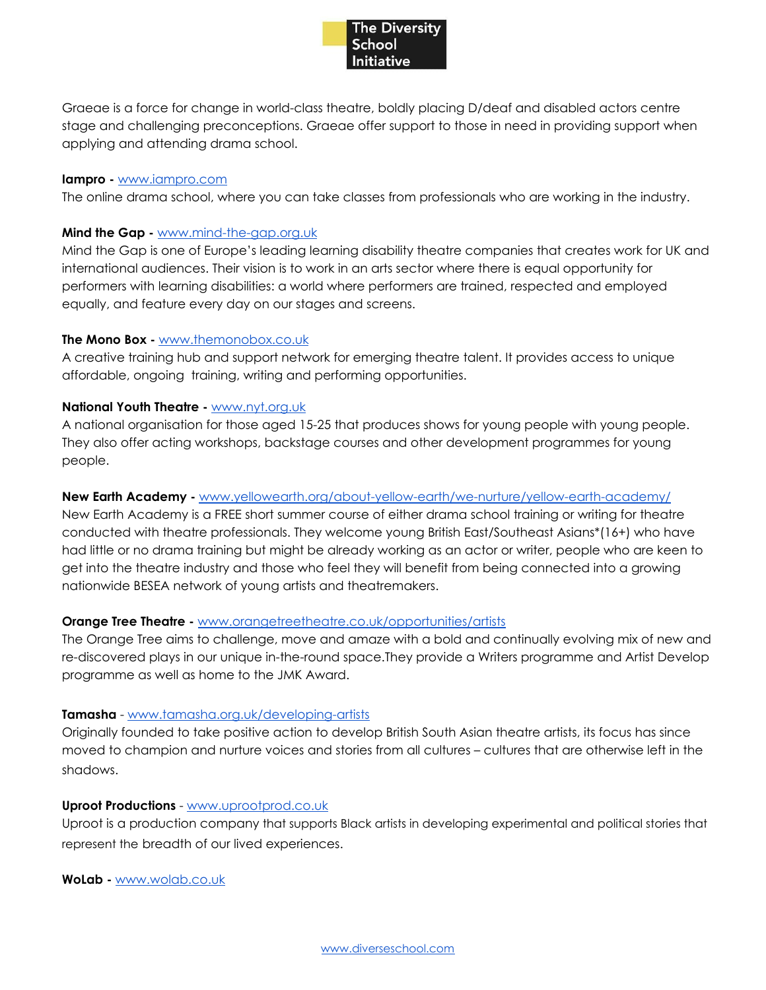

Graeae is a force for change in world-class theatre, boldly placing D/deaf and disabled actors centre stage and challenging preconceptions. Graeae offer support to those in need in providing support when applying and attending drama school.

#### **Iampro -** [www.iampro.com](http://www.iampro.com/)

The online drama school, where you can take classes from professionals who are working in the industry.

## **Mind the Gap -** [www.mind-the-gap.org.uk](https://www.mind-the-gap.org.uk/)

Mind the Gap is one of Europe's leading learning disability theatre companies that creates work for UK and international audiences. Their vision is to work in an arts sector where there is equal opportunity for performers with learning disabilities: a world where performers are trained, respected and employed equally, and feature every day on our stages and screens.

# **The Mono Box -** [www.themonobox.co.uk](http://www.themonobox.co.uk/)

A creative training hub and support network for emerging theatre talent. It provides access to unique affordable, ongoing training, writing and performing opportunities.

# **National Youth Theatre -** [www.nyt.org.uk](https://www.nyt.org.uk/)

A national organisation for those aged 15-25 that produces shows for young people with young people. They also offer acting workshops, backstage courses and other development programmes for young people.

# **New Earth Academy -** [www.yellowearth.org/about-yellow-earth/we-nurture/yellow-earth-academy/](http://www.yellowearth.org/about-yellow-earth/we-nurture/yellow-earth-academy/)

New Earth Academy is a FREE short summer course of either drama school training or writing for theatre conducted with theatre professionals. They welcome young British East/Southeast Asians\*(16+) who have had little or no drama training but might be already working as an actor or writer, people who are keen to get into the theatre industry and those who feel they will benefit from being connected into a growing nationwide BESEA network of young artists and theatremakers.

# **Orange Tree Theatre -** [www.orangetreetheatre.co.uk/opportunities/artists](http://www.orangetreetheatre.co.uk/opportunities/artists)

The Orange Tree aims to challenge, move and amaze with a bold and continually evolving mix of new and re-discovered plays in our unique in-the-round space.They provide a Writers programme and Artist Develop programme as well as home to the JMK Award.

# **Tamasha** - [www.tamasha.org.uk/developing-artists](http://www.tamasha.org.uk/developing-artists)

Originally founded to take positive action to develop British South Asian theatre artists, its focus has since moved to champion and nurture voices and stories from all cultures – cultures that are otherwise left in the shadows.

# **Uproot Productions** - [www.uprootprod.co.uk](http://www.uprootprod.co.uk/)

Uproot is a production company that supports Black artists in developing experimental and political stories that represent the breadth of our lived experiences.

**WoLab -** [www.wolab.co.uk](https://www.wolab.co.uk/)